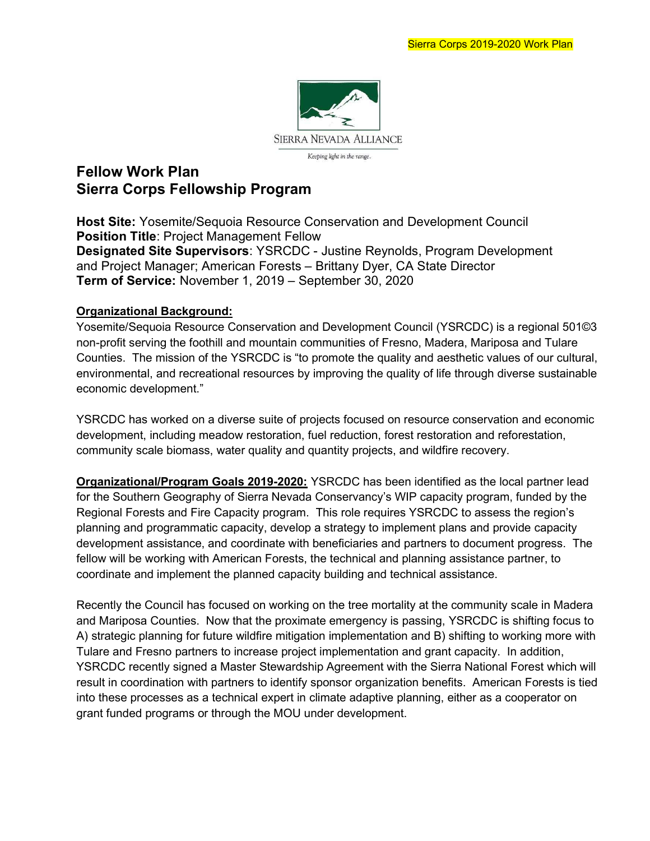

# Fellow Work Plan Sierra Corps Fellowship Program

Host Site: Yosemite/Sequoia Resource Conservation and Development Council Position Title: Project Management Fellow Designated Site Supervisors: YSRCDC - Justine Reynolds, Program Development and Project Manager; American Forests – Brittany Dyer, CA State Director Term of Service: November 1, 2019 – September 30, 2020

#### Organizational Background:

Yosemite/Sequoia Resource Conservation and Development Council (YSRCDC) is a regional 501©3 non-profit serving the foothill and mountain communities of Fresno, Madera, Mariposa and Tulare Counties. The mission of the YSRCDC is "to promote the quality and aesthetic values of our cultural, environmental, and recreational resources by improving the quality of life through diverse sustainable economic development."

YSRCDC has worked on a diverse suite of projects focused on resource conservation and economic development, including meadow restoration, fuel reduction, forest restoration and reforestation, community scale biomass, water quality and quantity projects, and wildfire recovery.

Organizational/Program Goals 2019-2020: YSRCDC has been identified as the local partner lead for the Southern Geography of Sierra Nevada Conservancy's WIP capacity program, funded by the Regional Forests and Fire Capacity program. This role requires YSRCDC to assess the region's planning and programmatic capacity, develop a strategy to implement plans and provide capacity development assistance, and coordinate with beneficiaries and partners to document progress. The fellow will be working with American Forests, the technical and planning assistance partner, to coordinate and implement the planned capacity building and technical assistance.

Recently the Council has focused on working on the tree mortality at the community scale in Madera and Mariposa Counties. Now that the proximate emergency is passing, YSRCDC is shifting focus to A) strategic planning for future wildfire mitigation implementation and B) shifting to working more with Tulare and Fresno partners to increase project implementation and grant capacity. In addition, YSRCDC recently signed a Master Stewardship Agreement with the Sierra National Forest which will result in coordination with partners to identify sponsor organization benefits. American Forests is tied into these processes as a technical expert in climate adaptive planning, either as a cooperator on grant funded programs or through the MOU under development.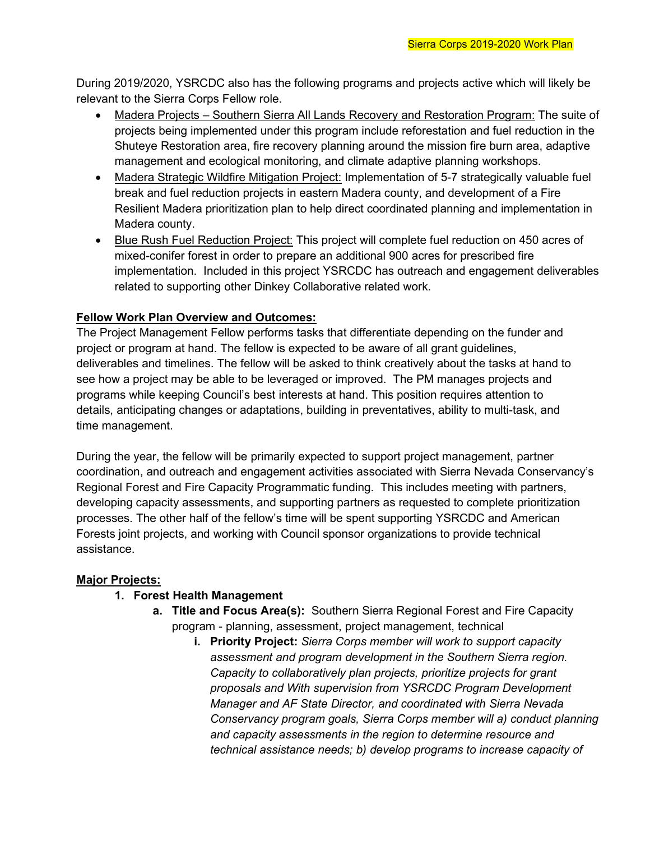During 2019/2020, YSRCDC also has the following programs and projects active which will likely be relevant to the Sierra Corps Fellow role.

- Madera Projects Southern Sierra All Lands Recovery and Restoration Program: The suite of projects being implemented under this program include reforestation and fuel reduction in the Shuteye Restoration area, fire recovery planning around the mission fire burn area, adaptive management and ecological monitoring, and climate adaptive planning workshops.
- Madera Strategic Wildfire Mitigation Project: Implementation of 5-7 strategically valuable fuel break and fuel reduction projects in eastern Madera county, and development of a Fire Resilient Madera prioritization plan to help direct coordinated planning and implementation in Madera county.
- Blue Rush Fuel Reduction Project: This project will complete fuel reduction on 450 acres of mixed-conifer forest in order to prepare an additional 900 acres for prescribed fire implementation. Included in this project YSRCDC has outreach and engagement deliverables related to supporting other Dinkey Collaborative related work.

## Fellow Work Plan Overview and Outcomes:

The Project Management Fellow performs tasks that differentiate depending on the funder and project or program at hand. The fellow is expected to be aware of all grant guidelines, deliverables and timelines. The fellow will be asked to think creatively about the tasks at hand to see how a project may be able to be leveraged or improved. The PM manages projects and programs while keeping Council's best interests at hand. This position requires attention to details, anticipating changes or adaptations, building in preventatives, ability to multi-task, and time management.

During the year, the fellow will be primarily expected to support project management, partner coordination, and outreach and engagement activities associated with Sierra Nevada Conservancy's Regional Forest and Fire Capacity Programmatic funding. This includes meeting with partners, developing capacity assessments, and supporting partners as requested to complete prioritization processes. The other half of the fellow's time will be spent supporting YSRCDC and American Forests joint projects, and working with Council sponsor organizations to provide technical assistance.

### Major Projects:

### 1. Forest Health Management

- a. Title and Focus Area(s): Southern Sierra Regional Forest and Fire Capacity program - planning, assessment, project management, technical
	- i. Priority Project: Sierra Corps member will work to support capacity assessment and program development in the Southern Sierra region. Capacity to collaboratively plan projects, prioritize projects for grant proposals and With supervision from YSRCDC Program Development Manager and AF State Director, and coordinated with Sierra Nevada Conservancy program goals, Sierra Corps member will a) conduct planning and capacity assessments in the region to determine resource and technical assistance needs; b) develop programs to increase capacity of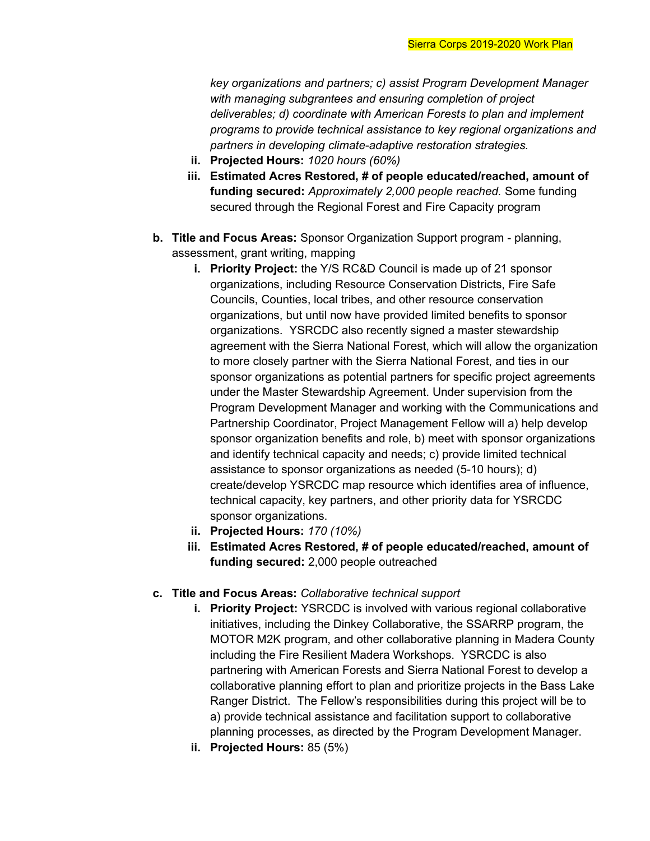key organizations and partners; c) assist Program Development Manager with managing subgrantees and ensuring completion of project deliverables; d) coordinate with American Forests to plan and implement programs to provide technical assistance to key regional organizations and partners in developing climate-adaptive restoration strategies.

- ii. Projected Hours: 1020 hours (60%)
- iii. Estimated Acres Restored, # of people educated/reached, amount of funding secured: Approximately 2,000 people reached. Some funding secured through the Regional Forest and Fire Capacity program
- b. Title and Focus Areas: Sponsor Organization Support program planning, assessment, grant writing, mapping
	- i. Priority Project: the Y/S RC&D Council is made up of 21 sponsor organizations, including Resource Conservation Districts, Fire Safe Councils, Counties, local tribes, and other resource conservation organizations, but until now have provided limited benefits to sponsor organizations. YSRCDC also recently signed a master stewardship agreement with the Sierra National Forest, which will allow the organization to more closely partner with the Sierra National Forest, and ties in our sponsor organizations as potential partners for specific project agreements under the Master Stewardship Agreement. Under supervision from the Program Development Manager and working with the Communications and Partnership Coordinator, Project Management Fellow will a) help develop sponsor organization benefits and role, b) meet with sponsor organizations and identify technical capacity and needs; c) provide limited technical assistance to sponsor organizations as needed (5-10 hours); d) create/develop YSRCDC map resource which identifies area of influence, technical capacity, key partners, and other priority data for YSRCDC sponsor organizations.
	- ii. Projected Hours: 170 (10%)
	- iii. Estimated Acres Restored, # of people educated/reached, amount of funding secured: 2,000 people outreached
- c. Title and Focus Areas: Collaborative technical support
	- i. Priority Project: YSRCDC is involved with various regional collaborative initiatives, including the Dinkey Collaborative, the SSARRP program, the MOTOR M2K program, and other collaborative planning in Madera County including the Fire Resilient Madera Workshops. YSRCDC is also partnering with American Forests and Sierra National Forest to develop a collaborative planning effort to plan and prioritize projects in the Bass Lake Ranger District. The Fellow's responsibilities during this project will be to a) provide technical assistance and facilitation support to collaborative planning processes, as directed by the Program Development Manager.
	- ii. Projected Hours: 85 (5%)